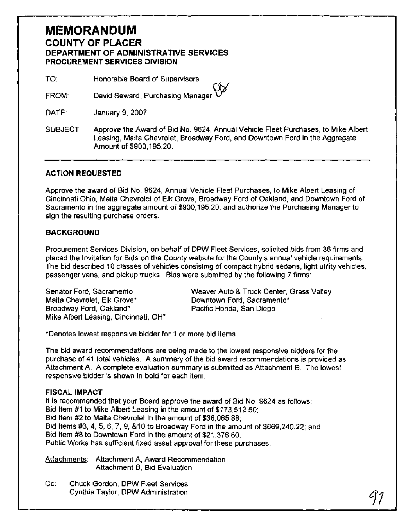# **MEMORANDUM COUNTY OF PLACER DEPARTMENT OF ADMINISTRATIVE SERVICES PROCUREMENT SERVICES DIVISION**

TO: Honorable Board of Supervisors

David Seward, Purchasing Manager<sup>1</sup> FROM:

January 9, 2007 DATE:

SUBJECT: Approve the Award of Bid No. 9624, Annual Vehicle Fleet Purchases, to Mike Albert Leasing, Maita Chevrolet, Broadway Ford, and Downtown Ford in the Aggregate Amount of \$900,195.20.

### **ACTION REQUESTED**

Approve the award of Bid No. 9624, Annual Vehicle Fleet Purchases, to Mike Albert Leasing of Cincinnati Ohio, Maita Chevrolet of Elk Grove, Broadway Ford of Oakland, and Downtown Ford of Sacramento in the aggregate amount of \$900,195.20, and authorize the Purchasing Manager to sign the resulting purchase orders.

### **BACKGROUND**

Procurement Services Division, on behalf of DPW Fleet Services, solicited bids from 36 firms and placed the Invitation for Bids on the County website for the County's annual vehicle requirements. The bid described 10 classes of vehicles consisting of compact hybrid sedans, light utility vehicles, passenger vans, and pickup trucks. Bids were submitted by the following 7 firms:

Maita Chevrolet, Elk Grove\* Downtown Ford, Sacramento\* Broadway Ford, Oakland\* Pacific Honda, San Diego Mike Albert Leasing, Cincinnati, OH\*

Senator Ford, Sacramento Weaver Auto & Truck Center, Grass Valley

\*Denotes lowest responsive bidder for 1 or more bid items.

The bid award recommendations are being made to the lowest responsive bidders for the purchase of 41 total vehicles. A summary of the bid award recommendations is provided as Attachment A. A complete evaluation summary is submitted as Attachment B. The lowest responsive bidder is shown in bold for each item.

#### **FISCAL IMPACT**

It is recommended that your Board approve the award of Bid No. 9624 as follows: Bid Item #1 to Mike Albert Leasing in the amount of \$173,512.50; Bid ltem #2 to Maita Chevrolet in the amount of \$36,065.88; Bid Items #3,4, **5,** 6, 7, 9, &I0 to Broadway Ford in the amount of \$669,240.22; and Bid ltem #8 to Downtown Ford in the amount of \$21,376.60. Public Works has sufficient fixed asset approval for these purchases.

Attachments: Attachment A, Award Recommendation Attachment **6,** Bid Evaluation

**Cc:** Chuck Gordon, DPW Fleet Services Cynthia Taylor, DPW Administration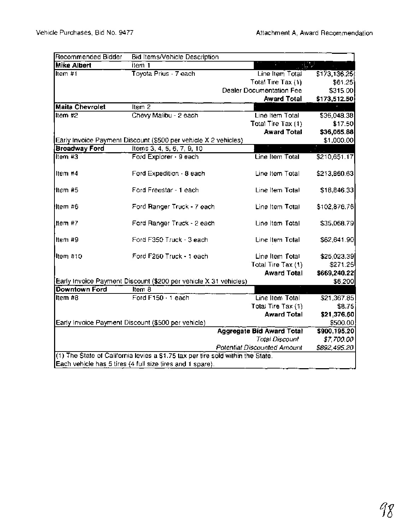| Recommended Bidder     | Bid Items/Vehicle Description                                                   |                                  |               |
|------------------------|---------------------------------------------------------------------------------|----------------------------------|---------------|
| <b>Mike Albert</b>     | $Item 1$                                                                        |                                  |               |
| Item #1                | Toyota Prius - 7 each                                                           | Line Item Total                  | \$173, 136.25 |
|                        |                                                                                 | Total Tire Tax (1)               | \$61.25       |
|                        |                                                                                 | Dealer Documentation Fee         | \$315.00      |
|                        |                                                                                 | <b>Award Total</b>               | \$173,512.50  |
| <b>Maita Chevrolet</b> | Item 2                                                                          |                                  |               |
| Item $#2$              | Chevy Malibu - 2 each                                                           | Line Item Total                  | \$36,048.38   |
|                        |                                                                                 | Total Tire Tax (1)               | \$17.50       |
|                        |                                                                                 | <b>Award Total</b>               | \$36,065.88   |
|                        | Early Invoice Payment Discount (\$500 per vehicle X 2 vehicles)                 |                                  | \$1,000.00    |
| <b>Broadway Ford</b>   | Items 3, 4, 5, 6, 7, 9, 10                                                      |                                  |               |
| Item #3                | Ford Explorer - 9 each                                                          | Line Item Total                  | \$210,651.17  |
|                        |                                                                                 |                                  |               |
| Item #4                | Ford Expedition - 8 each                                                        | Line Item Total                  | \$213,860.63  |
| Item #5                | Ford Freestar - 1 each                                                          | Line Item Total                  | \$18,846.33   |
|                        |                                                                                 |                                  |               |
| lltern #6              | Ford Ranger Truck - 7 each                                                      | Line Item Total                  | \$102,876.76  |
|                        |                                                                                 |                                  |               |
| Item#7                 | Ford Ranger Truck - 2 each                                                      | Line Item Total                  | \$35,068.79   |
|                        |                                                                                 |                                  |               |
| Item #9                | Ford F350 Truck - 3 each                                                        | Line Item Total                  | \$62,641.90   |
|                        |                                                                                 |                                  |               |
| Item #10               | Ford F250 Truck - 1 each                                                        | Line Item Total                  | \$25,023.39   |
|                        |                                                                                 | Total Tire Tax (1)               | \$271.25      |
|                        |                                                                                 | <b>Award Total</b>               | \$669,240.22  |
|                        | Early Invoice Payment Discount (\$200 per vehicle X 31 vehicles)                |                                  | \$6,200       |
| Downtown Ford          | Item 8                                                                          |                                  |               |
| Item #8                | Ford F150 - 1 each                                                              | Line Item Total                  | \$21,367.85   |
|                        |                                                                                 | Total Tire Tax (1)               | \$8.75        |
|                        |                                                                                 | <b>Award Total</b>               | \$21,376.60   |
|                        | Early Invoice Payment Discount (\$500 per vehicle)                              |                                  | \$500.00      |
|                        |                                                                                 | <b>Aggregate Bid Award Total</b> | \$900,195.20  |
|                        |                                                                                 | <b>Total Discount</b>            | \$7,700.00    |
|                        |                                                                                 | Potential Discounted Amount      | \$892,495.20  |
|                        | (1) The State of California levies a \$1.75 tax per tire sold within the State. |                                  |               |
|                        | Each vehicle has 5 tires (4 full size tires and 1 spare).                       |                                  |               |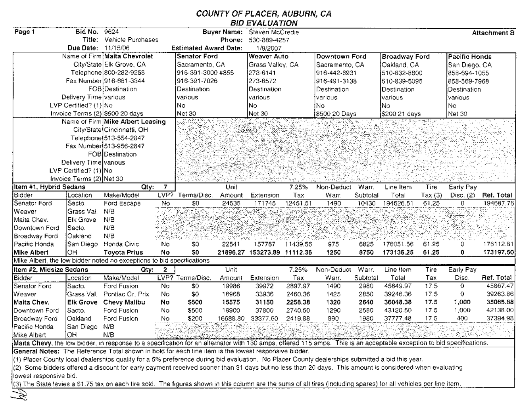## **COUNTY OF PLACER, AUBURN, CA BID EVALUATION**

| Page 1                                                                                                                                                                | Bid No.                  | 9624                             |                  |                              | <b>Buyer Name:</b> | Steven McCredie             |          |                                                                                                                       |          |                      |        |               | Attachment B |
|-----------------------------------------------------------------------------------------------------------------------------------------------------------------------|--------------------------|----------------------------------|------------------|------------------------------|--------------------|-----------------------------|----------|-----------------------------------------------------------------------------------------------------------------------|----------|----------------------|--------|---------------|--------------|
|                                                                                                                                                                       | Title:                   | Vehicle Purchases                |                  |                              | Phone:             | 530-889-4257                |          |                                                                                                                       |          |                      |        |               |              |
|                                                                                                                                                                       | Due Date:                | 11/15/06                         |                  | <b>Estimated Award Date:</b> |                    | 1/9/2007                    |          |                                                                                                                       |          |                      |        |               |              |
|                                                                                                                                                                       |                          | Name of Firm Maita Chevrolet     |                  | <b>Senator Ford</b>          |                    | <b>Weaver Auto</b>          |          | Downtown Ford                                                                                                         |          | <b>Broadway Ford</b> |        | Pacific Honda |              |
|                                                                                                                                                                       |                          | City/State Elk Grove, CA         |                  | Sacramento, CA               |                    | Grass Valley, CA            |          | Sacramento, CA                                                                                                        |          | Oakland, CA          |        | San Diego, CA |              |
|                                                                                                                                                                       |                          | Telephone 800-282-9258           |                  | 916-391-3000 #855            |                    | 273-6141                    |          | 916-442-6931                                                                                                          |          | 510-832-8800         |        | 858-694-1055  |              |
|                                                                                                                                                                       |                          | Fax Number 916-681-3344          |                  | 916-391-7026                 |                    | 273-6572                    |          | 916-491-3138                                                                                                          |          | 510-839-5095         |        | 858-569-7968  |              |
|                                                                                                                                                                       |                          | FOB Destination                  |                  | Destination                  |                    | Destination                 |          | Destination                                                                                                           |          | Destination          |        | Destination   |              |
|                                                                                                                                                                       | Delivery Time various    |                                  |                  | various                      |                    | various                     |          | various                                                                                                               |          | various              |        | various       |              |
|                                                                                                                                                                       | LVP Certified? (1) No    |                                  |                  | No.                          |                    | No.                         |          | No                                                                                                                    |          | lNo.                 |        | No.           |              |
|                                                                                                                                                                       |                          | Invoice Terms (2) \$500 20 days  |                  | Net 30                       |                    | Net 30                      |          | \$500 20 Days                                                                                                         |          | \$200 21 days        |        | Net 30        |              |
|                                                                                                                                                                       |                          | Name of Firm Mike Albert Leasing |                  |                              |                    |                             |          |                                                                                                                       |          |                      |        |               |              |
|                                                                                                                                                                       |                          | City/State Cincinnatti, OH       |                  |                              |                    |                             |          |                                                                                                                       |          |                      |        |               |              |
|                                                                                                                                                                       |                          | Telephone 513-554-2847           |                  |                              |                    |                             |          |                                                                                                                       |          |                      |        |               |              |
|                                                                                                                                                                       |                          | Fax Number 513-956-2847          |                  |                              |                    |                             |          |                                                                                                                       |          |                      |        |               |              |
|                                                                                                                                                                       |                          | FOB Destination                  |                  |                              |                    |                             |          |                                                                                                                       |          |                      |        |               |              |
|                                                                                                                                                                       | Delivery Time various    |                                  |                  |                              |                    |                             |          |                                                                                                                       |          |                      |        |               |              |
|                                                                                                                                                                       | LVP Certified? (1) No    |                                  |                  |                              |                    |                             |          |                                                                                                                       |          |                      |        |               |              |
|                                                                                                                                                                       | Invoice Terms (2) Net 30 |                                  |                  |                              |                    |                             |          |                                                                                                                       |          |                      |        |               |              |
| Item #1, Hybrid Sedans                                                                                                                                                |                          | Qty:                             | 7                |                              | Unit               |                             | 7.25%    | Non-Deduct                                                                                                            | Warr.    | Line Item            | Tire   | Early Pay     |              |
| Bidder                                                                                                                                                                | Location                 | Make/Model                       | $LVP$ ?          | Terms/Disc.                  | Amount             | Extension                   | Tax      | Warr.                                                                                                                 | Subtotal | Total                | Tax(3) | Disc. $(2)$   | Ref. Total   |
| Senator Ford                                                                                                                                                          | Sacto.                   | Ford Escape                      | No               | \$0                          | 24535              | 171745                      | 12451.51 | 1490                                                                                                                  | 10430    | 194626.51            | 61.25  | 0.            | 194687.76    |
| Weaver<br>Maita Chev.                                                                                                                                                 | Grass Val.<br>Elk Grove  | N/B<br>N/B                       |                  |                              |                    |                             |          |                                                                                                                       |          |                      |        |               |              |
|                                                                                                                                                                       |                          | N/B                              |                  |                              |                    |                             |          |                                                                                                                       |          |                      |        |               |              |
| Downtown Ford                                                                                                                                                         | Sacto.<br>Oakland        | N/B                              |                  |                              |                    |                             |          |                                                                                                                       |          |                      |        |               |              |
| Broadway Ford<br>Pacific Honda                                                                                                                                        |                          | Honda Civic                      | No               | 50                           | 22541              | 157787                      | 11439.56 | 975                                                                                                                   | 6825     | 176051.56            | 61.25  | 0.            | 176112.81    |
| Mike Albert                                                                                                                                                           | San Diego<br>OH          | <b>Toyota Prius</b>              | No               | \$0                          |                    | 21896.27 153273.89 11112.36 |          | 1250                                                                                                                  | 8750     | 173136.25            | 61.25  | 0             | 173197.50    |
| Mike Albert, the low bidder noted no exceptions to bid specifications                                                                                                 |                          |                                  |                  |                              |                    |                             |          |                                                                                                                       |          |                      |        |               |              |
| Item #2, Midsize Sedans                                                                                                                                               |                          | <b>Gty:</b>                      | 2                |                              | Unit               |                             | 7.25%    | Non-Deduct                                                                                                            | Warr.    | Line Item            | Tire   | Early Pay     |              |
| Bidder                                                                                                                                                                | Location                 | Make/Model                       |                  | LVP? Terms/Disc.             | Amount             | Extension                   | Tax      | Warr.                                                                                                                 | Subtotal | Total                | Tax    | Disc.         | Ref. Total   |
| Senator Ford                                                                                                                                                          | Sacto.                   | Ford Fusion                      | No               | \$0                          | 19986              | 39972                       | 2897.97  | 1490                                                                                                                  | 2980     | 45849.97             | 17.5   | $\mathbf{O}$  | 45867.47     |
| Weaver                                                                                                                                                                | Grass Val.               | Pontiac Gr. Prix                 | No               | \$0                          | 16968              | 33936                       | 2460.36  | 1425                                                                                                                  | 2850     | 39246.36             | 17.5   | 0.            | 39263.86     |
| Maita Chev.                                                                                                                                                           | <b>Elk Grove</b>         | Chevy Malibu                     | No               | <b>S500</b>                  | 15575              | 31150                       | 2258.38  | 1320                                                                                                                  | 2640     | 36048.38             | 17.5   | 1,000         | 35065.88     |
| Downtown Ford                                                                                                                                                         | Sacto.                   | Ford Fusion                      | No               | \$500                        | 18900              | 37800                       | 2740.50  | 1290                                                                                                                  | 2580     | 43120.50             | 17.5   | 1,000         | 42138.00     |
| Broadway Ford                                                                                                                                                         | Qakland                  | Ford Fusion                      | No               | \$200                        | 16688.80           | 33377.60                    | 2419.88  | 990                                                                                                                   | 1980     | 37777.48             | 17.5   | 400           | 37394.98     |
| Pacific Honda                                                                                                                                                         | San Diego                | N/B                              |                  |                              |                    |                             |          |                                                                                                                       |          |                      |        |               |              |
| ∣Mike Albert                                                                                                                                                          | ļОH                      | N/B                              | الخي بمالكين تان |                              |                    |                             |          | <u>Tark Biblioth and the state of the state of the state of the state of the state of the state of the state of t</u> |          |                      |        |               |              |
| Maita Chevy, the low bidder, in response to a specificalion for an alternator with 130 amps, offered 115 amps. This is an acceptable exception to bid specifications. |                          |                                  |                  |                              |                    |                             |          |                                                                                                                       |          |                      |        |               |              |
| General Notes: The Reference Total shown in bold for each line item is the lowest responsive bidder.                                                                  |                          |                                  |                  |                              |                    |                             |          |                                                                                                                       |          |                      |        |               |              |
| (1) Placer County local dealerships qualify for a 5% preference during bid evaluation. No Placer County dealerships submitted a bid this year.                        |                          |                                  |                  |                              |                    |                             |          |                                                                                                                       |          |                      |        |               |              |
| (2) Some bidders offered a discount for early payment received sooner than 31 days but no less than 20 days. This amount is considered when evaluating                |                          |                                  |                  |                              |                    |                             |          |                                                                                                                       |          |                      |        |               |              |
| lowest responsive bid.                                                                                                                                                |                          |                                  |                  |                              |                    |                             |          |                                                                                                                       |          |                      |        |               |              |
| (3) The State levies a \$1.75 tax on each tire sold. The figures shown in this column are the sums of all tires (including spares) for all vehicles per line item.    |                          |                                  |                  |                              |                    |                             |          |                                                                                                                       |          |                      |        |               |              |

B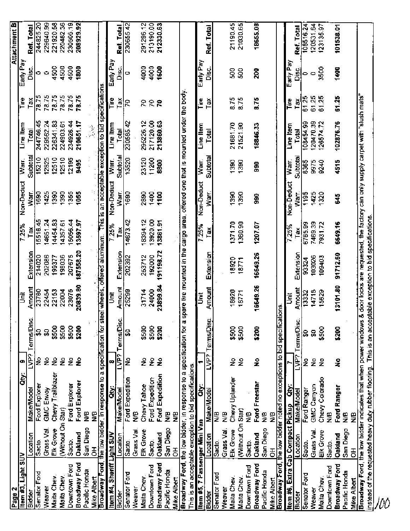| Page 2                               |                      |                                                                                                            |                      |                 |                |                  |                      |              |                |                                                                                  |                |                 | Attachment B           |  |
|--------------------------------------|----------------------|------------------------------------------------------------------------------------------------------------|----------------------|-----------------|----------------|------------------|----------------------|--------------|----------------|----------------------------------------------------------------------------------|----------------|-----------------|------------------------|--|
| Item #3, Light SUV                   |                      | ä                                                                                                          | œ                    |                 | Ĩ              |                  | 7.25%                | Non-Deduct   | Warr.          | Line Item                                                                        | <b>Fire</b>    | Early Pay       |                        |  |
| Bidder                               | Location             | Make/Model                                                                                                 | ides<br>L            | Terms/Disc      | Amount         | Extension        | Tax                  | Warr         | Subtotal       | Total                                                                            | Tax            | Disc.           | Ref. Total             |  |
| Senator Ford<br>Weaver               | Grass Val.<br>Sacto. | Ford Explorer<br>GMC Ervoy                                                                                 | ş<br>ş               | S<br>8          | 23780<br>22454 | 214020<br>202086 | 14651.24<br>15516.45 | 1425<br>1690 | 15210<br>12825 | 244746.45<br>229562.24                                                           | 78.75<br>78.75 | $\circ$<br>∍    | 244825.20<br>229640.99 |  |
| Maita Chev.                          | Elk Grove            | Chevy Trailblazer                                                                                          | ż                    | \$500           | 22153          | 199377           | 14454.83             | 1390         | 12510          | 226341.83                                                                        | 78.75          | 4500            | 221920.58              |  |
| Maita Chev.                          | (Without On Star)    |                                                                                                            | ş                    | \$500           | 22004          | 198036           | 14357.61             | 1390         | 12510          | 224903.61                                                                        | 78.75          | 4500            | 220482.36              |  |
| Downtown Ford                        | Sacto.               | Ford Explorer                                                                                              | ş                    | \$500           | 23075          | 207675           | 15056.44             | 1355         | 12195          | 234926.44                                                                        | 78.75          | 4500            | 230505.19              |  |
| Broadway Ford                        | Oakland              | Ford Explorer                                                                                              | ŝ                    | \$200           | 20839.80       | 187558.20        | 13597.97             | 1055         | 9495           | 210651.17                                                                        | 78.75          | 1800            | 208929.92              |  |
| Pacific Honda                        | San Diego            | 9<br>Ž                                                                                                     |                      |                 |                |                  |                      |              |                |                                                                                  |                |                 |                        |  |
| Mike Albert                          | $\mathbf{\tilde{e}}$ | ş                                                                                                          |                      |                 |                |                  |                      |              |                |                                                                                  |                |                 |                        |  |
|                                      |                      | Broadway Ford, the low bidder, in response to a specification for steel wheels, offered aluminum.          |                      |                 |                |                  |                      |              |                | This is an acceptable exception to bid specifications                            |                |                 |                        |  |
| tem #4, Sheriff Light SUV            |                      | ë                                                                                                          | œ                    |                 | š              |                  | 7.25%                | Non-Deduct   | War.           | Line Item                                                                        | lire           | Early Pay       |                        |  |
| Bidder                               | Location             | Make/Model                                                                                                 | LVP?                 | Terms/Disc.     | Amount         | Extension        | řã.                  | Warr.        | Subtotal       | Total                                                                            | ě              | ss.<br>Disc     | Ref. Total             |  |
| Senator Ford                         | Sacto.               | Ford Expedition                                                                                            | £                    | ន្ល             | 25299          | 202392           | 14673.42             | 1690         | 13520          | 230585.42                                                                        | g              | o               | 230655.42              |  |
| Weaver                               | Grass Val            | ⊕<br>Ž                                                                                                     |                      |                 |                |                  |                      |              |                |                                                                                  |                |                 |                        |  |
| Maita Chev.                          | Elk Grove            | Chevy Tahoe                                                                                                | ž                    | \$500           | 31714          | 253712           | 18394.12             | 2890         | 23120          | 295226.12                                                                        | 5              | 4000            | 291296.12              |  |
| Downtown Ford                        | Sacto.               | Ford Expedition                                                                                            | ş                    | \$500           | 24000          | 192000           | 13920.00             | 1400         | 11200          | 217120.00                                                                        | 5              | 4000            | 213190.00              |  |
| <b>Broadway Ford</b>                 | <b>Oakland</b>       | Ford Expedition                                                                                            | £                    | \$200           | 23899.84       | 191198.72        | 13861.91             | 1100         | 8800           | 213860.63                                                                        | ನಿ             | 1600            | 212330.63              |  |
| Pacific Honda<br>Mike Albert         | San Diego<br>₹       | º<br>Ž<br>ይ<br>ጀ                                                                                           |                      |                 |                |                  |                      |              |                |                                                                                  |                |                 |                        |  |
|                                      |                      | Broadway Ford, the low bidder, in response to a specification for a                                        |                      |                 |                |                  |                      |              |                | spare lire mounted in the cargo area, offered one that is mounted under the body |                |                 |                        |  |
|                                      |                      | This is an acceptable exception to bid specifications                                                      |                      |                 |                |                  |                      |              |                |                                                                                  |                |                 |                        |  |
| <u>ltem #5,</u> 7 Passenger Mini Van |                      | ä                                                                                                          |                      |                 | š              |                  | 7.25%                | Non-Deduct   | Warr.          | Line Item                                                                        | Tire           | Early Pay       |                        |  |
| Bidder                               | Location             | Make/Model                                                                                                 |                      | LVP? Terms/Disc | Amount         | Extension        | Tax                  | Warr.        | Subtotal       | Total                                                                            | Tax            | ں<br>آ          | Ref. Total             |  |
| Senator Ford                         | Sacto.               | Ş                                                                                                          |                      |                 |                |                  |                      |              |                |                                                                                  |                |                 |                        |  |
| Weaver                               | Grass Val.           | Ş                                                                                                          |                      |                 |                |                  |                      |              |                |                                                                                  |                |                 |                        |  |
| Maita Chev.                          | Elk Grove            | Chevy Uplander                                                                                             | ž                    | \$500           | 18920          | 18920            | 1371.70              | 1390         | 1390           | 21681.70                                                                         | 8.75           | ន្ល             | 21190.45               |  |
| Maita Chev.                          | (Without On Star)    |                                                                                                            | ş                    | \$500           | 18771          | 18771            | 1360,90              | 1390         | 1390           | 21521.90                                                                         | 8.75           | S <sub>30</sub> | 21030.65               |  |
| Downtown Ford                        | Sacto.               | ₽<br>Ž                                                                                                     |                      |                 |                |                  |                      |              |                |                                                                                  |                |                 |                        |  |
| Broadway Ford                        | <b>Cakland</b>       | Ford Freestar<br>Ş                                                                                         | £                    | \$200           | 16649.26       | 16649.26         | 1207.07              | ŝ            | ទី             | 18846.33                                                                         | 8.75           | នី              | 18655.08               |  |
| Pacific Honda<br><b>Mike Albert</b>  | San Diego<br>풍       | 9<br>≳                                                                                                     |                      |                 |                |                  |                      |              |                |                                                                                  |                |                 |                        |  |
| Broadway Ford, the low bidder        |                      | noted no exceptions to bid specifications                                                                  |                      |                 |                |                  |                      |              |                |                                                                                  |                |                 |                        |  |
|                                      |                      | ä                                                                                                          |                      |                 | Ŝ              |                  | 7.25%                | Non-Deduct   | Warr.          | Line Item                                                                        | ι              | Early Pay       |                        |  |
|                                      | Location             |                                                                                                            | LVP?                 | Terms/Diso      | Amount         | Extension        | ă                    | ∑<br>∑       | Subtotal       | 룡                                                                                | $\tilde{a}$    | δ               | Ref. Total             |  |
| Senator Ford                         | Sacto.               | Ford Ranger                                                                                                | ž                    | ន្ល             | 13332          | 93324            | 6765.99              | 1195         | 8365           | 108454.99                                                                        | 61.25          | ∍               | 108516.24              |  |
| Weaver                               | Grass Val.           | GMC Canyon                                                                                                 | $\tilde{\mathbf{z}}$ | S               | 14718          | 103026           | 7469.39              | 1425         | 9975           | 120470.39                                                                        | 61.25          | C               | 120531.64              |  |
| Maita Chev.                          | Elk Grove            | Chevy Colorado                                                                                             | ž                    | \$500           | 15629          | 109403           | 7931.72              | 1320         | 9240           | 126574.72                                                                        | 61.25          | 3500            | 123135.97              |  |
| Downtown Ford                        | Sacto.               | 9<br>Ž                                                                                                     |                      |                 |                |                  |                      |              |                |                                                                                  |                |                 |                        |  |
| <b>Broadway Ford</b>                 | <b>Oakland</b>       | Ford Ranger                                                                                                | ş                    | \$200           | 13101.80       | 91712.60         | 6649.16              | 3            | 4515           | 102876.76                                                                        | 61.25          | 1400            | 101538.01              |  |
| Pacific Honda                        | San Diego            | 9£                                                                                                         |                      |                 |                |                  |                      |              |                |                                                                                  |                |                 |                        |  |
| Mike Albert                          | $\frac{1}{5}$        | 9<br>Ž                                                                                                     |                      |                 |                |                  |                      |              |                |                                                                                  |                |                 |                        |  |
|                                      |                      | Broadway Ford, the low bidder indicates that when power windows                                            |                      |                 |                |                  |                      |              |                | & door locks are requested, the factory can only supply carpet with "slush mats" |                |                 |                        |  |
|                                      |                      | instead of the requested heavy duty rubber flooring. This is an acceptable exception to bid specifications |                      |                 |                |                  |                      |              |                |                                                                                  |                |                 |                        |  |
|                                      |                      |                                                                                                            |                      |                 |                |                  |                      |              |                |                                                                                  |                |                 |                        |  |
|                                      |                      |                                                                                                            |                      |                 |                |                  |                      |              |                |                                                                                  |                |                 |                        |  |
|                                      |                      |                                                                                                            |                      |                 |                |                  |                      |              |                |                                                                                  |                |                 |                        |  |
|                                      |                      |                                                                                                            |                      |                 |                |                  |                      |              |                |                                                                                  |                |                 |                        |  |
|                                      |                      |                                                                                                            |                      |                 |                |                  |                      |              |                |                                                                                  |                |                 |                        |  |
|                                      |                      |                                                                                                            |                      |                 |                |                  |                      |              |                |                                                                                  |                |                 |                        |  |
|                                      |                      |                                                                                                            |                      |                 |                |                  |                      |              |                |                                                                                  |                |                 |                        |  |
|                                      |                      |                                                                                                            |                      |                 |                |                  |                      |              |                |                                                                                  |                |                 |                        |  |
|                                      |                      |                                                                                                            |                      |                 |                |                  |                      |              |                |                                                                                  |                |                 |                        |  |
|                                      |                      |                                                                                                            |                      |                 |                |                  |                      |              |                |                                                                                  |                |                 |                        |  |
|                                      |                      |                                                                                                            |                      |                 |                |                  |                      |              |                |                                                                                  |                |                 |                        |  |
|                                      |                      |                                                                                                            |                      |                 |                |                  |                      |              |                |                                                                                  |                |                 |                        |  |
|                                      |                      |                                                                                                            |                      |                 |                |                  |                      |              |                |                                                                                  |                |                 |                        |  |
|                                      |                      |                                                                                                            |                      |                 |                |                  |                      |              |                |                                                                                  |                |                 |                        |  |
|                                      |                      |                                                                                                            |                      |                 |                |                  |                      |              |                |                                                                                  |                |                 |                        |  |
|                                      |                      |                                                                                                            |                      |                 |                |                  |                      |              |                |                                                                                  |                |                 |                        |  |
|                                      |                      |                                                                                                            |                      |                 |                |                  |                      |              |                |                                                                                  |                |                 |                        |  |
|                                      |                      |                                                                                                            |                      |                 |                |                  |                      |              |                |                                                                                  |                |                 |                        |  |
|                                      |                      |                                                                                                            |                      |                 |                |                  |                      |              |                |                                                                                  |                |                 |                        |  |
|                                      |                      |                                                                                                            |                      |                 |                |                  |                      |              |                |                                                                                  |                |                 |                        |  |
|                                      |                      |                                                                                                            |                      |                 |                |                  |                      |              |                |                                                                                  |                |                 |                        |  |
|                                      |                      |                                                                                                            |                      |                 |                |                  |                      |              |                |                                                                                  |                |                 |                        |  |
|                                      |                      |                                                                                                            |                      |                 |                |                  |                      |              |                |                                                                                  |                |                 |                        |  |
|                                      |                      |                                                                                                            |                      |                 |                |                  |                      |              |                |                                                                                  |                |                 |                        |  |
|                                      |                      |                                                                                                            |                      |                 |                |                  |                      |              |                |                                                                                  |                |                 |                        |  |
|                                      |                      |                                                                                                            |                      |                 |                |                  |                      |              |                |                                                                                  |                |                 |                        |  |